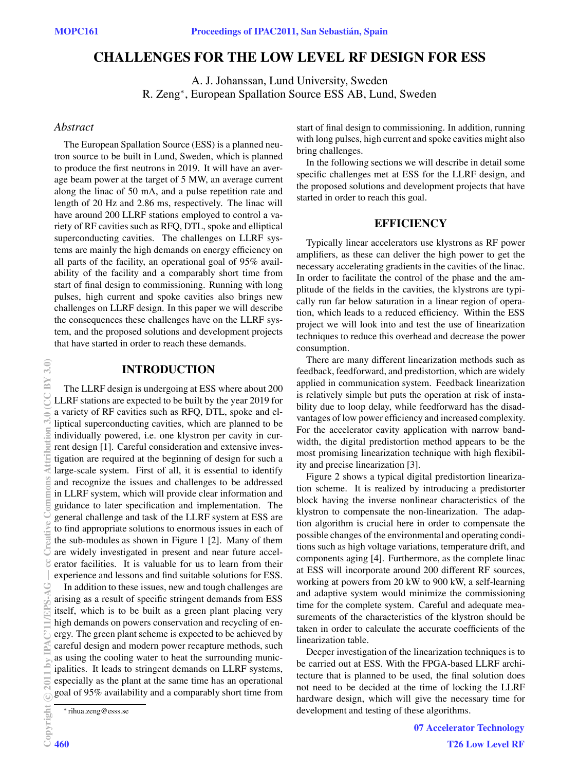# **CHALLENGES FOR THE LOW LEVEL RF DESIGN FOR ESS**

A. J. Johanssan, Lund University, Sweden R. Zeng∗, European Spallation Source ESS AB, Lund, Sweden

## *Abstract*

The European Spallation Source (ESS) is a planned neutron source to be built in Lund, Sweden, which is planned to produce the first neutrons in 2019. It will have an average beam power at the target of 5 MW, an average current along the linac of 50 mA, and a pulse repetition rate and length of 20 Hz and 2.86 ms, respectively. The linac will have around 200 LLRF stations employed to control a variety of RF cavities such as RFQ, DTL, spoke and elliptical superconducting cavities. The challenges on LLRF systems are mainly the high demands on energy efficiency on all parts of the facility, an operational goal of 95% availability of the facility and a comparably short time from start of final design to commissioning. Running with long pulses, high current and spoke cavities also brings new challenges on LLRF design. In this paper we will describe the consequences these challenges have on the LLRF system, and the proposed solutions and development projects that have started in order to reach these demands.

# **INTRODUCTION**

The LLRF design is undergoing at ESS where about 200 LLRF stations are expected to be built by the year 2019 for a variety of RF cavities such as RFQ, DTL, spoke and elliptical superconducting cavities, which are planned to be individually powered, i.e. one klystron per cavity in current design [1]. Careful consideration and extensive investigation are required at the beginning of design for such a large-scale system. First of all, it is essential to identify and recognize the issues and challenges to be addressed in LLRF system, which will provide clear information and guidance to later specification and implementation. The general challenge and task of the LLRF system at ESS are to find appropriate solutions to enormous issues in each of the sub-modules as shown in Figure 1 [2]. Many of them are widely investigated in present and near future accelerator facilities. It is valuable for us to learn from their experience and lessons and find suitable solutions for ESS.

In addition to these issues, new and tough challenges are arising as a result of specific stringent demands from ESS itself, which is to be built as a green plant placing very high demands on powers conservation and recycling of energy. The green plant scheme is expected to be achieved by careful design and modern power recapture methods, such as using the cooling water to heat the surrounding municipalities. It leads to stringent demands on LLRF systems, especially as the plant at the same time has an operational goal of 95% availability and a comparably short time from

∗ rihua.zeng@esss.se

start of final design to commissioning. In addition, running with long pulses, high current and spoke cavities might also bring challenges.

In the following sections we will describe in detail some specific challenges met at ESS for the LLRF design, and the proposed solutions and development projects that have started in order to reach this goal.

## **EFFICIENCY**

Typically linear accelerators use klystrons as RF power amplifiers, as these can deliver the high power to get the necessary accelerating gradients in the cavities of the linac. In order to facilitate the control of the phase and the amplitude of the fields in the cavities, the klystrons are typically run far below saturation in a linear region of operation, which leads to a reduced efficiency. Within the ESS project we will look into and test the use of linearization techniques to reduce this overhead and decrease the power consumption.

There are many different linearization methods such as feedback, feedforward, and predistortion, which are widely applied in communication system. Feedback linearization is relatively simple but puts the operation at risk of instability due to loop delay, while feedforward has the disadvantages of low power efficiency and increased complexity. For the accelerator cavity application with narrow bandwidth, the digital predistortion method appears to be the most promising linearization technique with high flexibility and precise linearization [3].

Figure 2 shows a typical digital predistortion linearization scheme. It is realized by introducing a predistorter block having the inverse nonlinear characteristics of the klystron to compensate the non-linearization. The adaption algorithm is crucial here in order to compensate the possible changes of the environmental and operating conditions such as high voltage variations, temperature drift, and components aging [4]. Furthermore, as the complete linac at ESS will incorporate around 200 different RF sources, working at powers from 20 kW to 900 kW, a self-learning and adaptive system would minimize the commissioning time for the complete system. Careful and adequate measurements of the characteristics of the klystron should be taken in order to calculate the accurate coefficients of the linearization table.

Deeper investigation of the linearization techniques is to be carried out at ESS. With the FPGA-based LLRF architecture that is planned to be used, the final solution does not need to be decided at the time of locking the LLRF hardware design, which will give the necessary time for development and testing of these algorithms.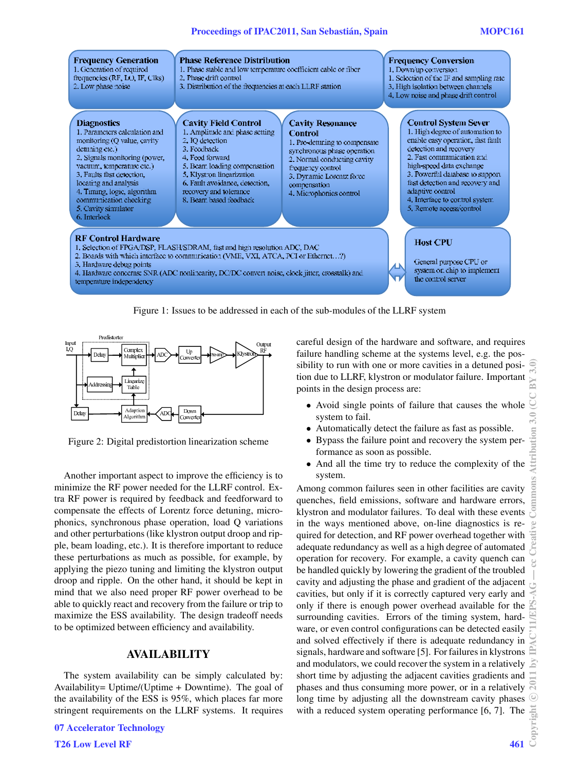

Figure 1: Issues to be addressed in each of the sub-modules of the LLRF system



Figure 2: Digital predistortion linearization scheme

Another important aspect to improve the efficiency is to minimize the RF power needed for the LLRF control. Extra RF power is required by feedback and feedforward to compensate the effects of Lorentz force detuning, microphonics, synchronous phase operation, load Q variations and other perturbations (like klystron output droop and ripple, beam loading, etc.). It is therefore important to reduce these perturbations as much as possible, for example, by applying the piezo tuning and limiting the klystron output droop and ripple. On the other hand, it should be kept in mind that we also need proper RF power overhead to be able to quickly react and recovery from the failure or trip to maximize the ESS availability. The design tradeoff needs to be optimized between efficiency and availability.

## **AVAILABILITY**

The system availability can be simply calculated by: Availability= Uptime/(Uptime + Downtime). The goal of the availability of the ESS is 95%, which places far more stringent requirements on the LLRF systems. It requires

**T26 Low Level RF** 461

careful design of the hardware and software, and requires failure handling scheme at the systems level, e.g. the possibility to run with one or more cavities in a detuned position due to LLRF, klystron or modulator failure. Important points in the design process are:

- Avoid single points of failure that causes the whole system to fail.
- *•* Automatically detect the failure as fast as possible.
- *•* Bypass the failure point and recovery the system performance as soon as possible.
- *•* And all the time try to reduce the complexity of the system.

Among common failures seen in other facilities are cavity quenches, field emissions, software and hardware errors, klystron and modulator failures. To deal with these events in the ways mentioned above, on-line diagnostics is required for detection, and RF power overhead together with adequate redundancy as well as a high degree of automated operation for recovery. For example, a cavity quench can be handled quickly by lowering the gradient of the troubled cavity and adjusting the phase and gradient of the adjacent cavities, but only if it is correctly captured very early and only if there is enough power overhead available for the surrounding cavities. Errors of the timing system, hardware, or even control configurations can be detected easily and solved effectively if there is adequate redundancy in signals, hardware and software [5]. For failures in klystrons and modulators, we could recover the system in a relatively  $\mathbb{Z}$ short time by adjusting the adjacent cavities gradients and phases and thus consuming more power, or in a relatively long time by adjusting all the downstream cavity phases with a reduced system operating performance [6, 7]. The